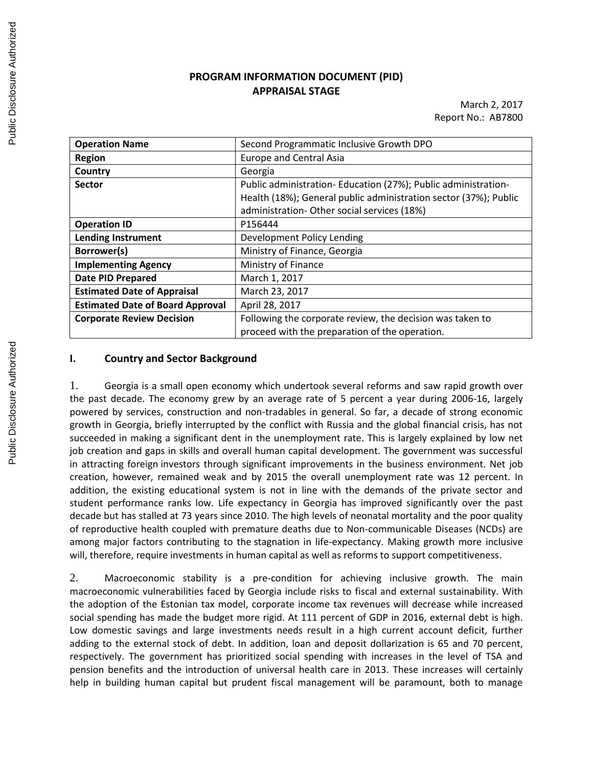# **PROGRAM INFORMATION DOCUMENT (PID) APPRAISAL STAGE**

March 2, 2017 Report No.: AB7800

| <b>Operation Name</b>                   | Second Programmatic Inclusive Growth DPO                         |
|-----------------------------------------|------------------------------------------------------------------|
| <b>Region</b>                           | <b>Europe and Central Asia</b>                                   |
| Country                                 | Georgia                                                          |
| <b>Sector</b>                           | Public administration-Education (27%); Public administration-    |
|                                         | Health (18%); General public administration sector (37%); Public |
|                                         | administration- Other social services (18%)                      |
| <b>Operation ID</b>                     | P156444                                                          |
| <b>Lending Instrument</b>               | Development Policy Lending                                       |
| Borrower(s)                             | Ministry of Finance, Georgia                                     |
| <b>Implementing Agency</b>              | Ministry of Finance                                              |
| <b>Date PID Prepared</b>                | March 1, 2017                                                    |
| <b>Estimated Date of Appraisal</b>      | March 23, 2017                                                   |
| <b>Estimated Date of Board Approval</b> | April 28, 2017                                                   |
| <b>Corporate Review Decision</b>        | Following the corporate review, the decision was taken to        |
|                                         | proceed with the preparation of the operation.                   |

## **I. Country and Sector Background**

1. Georgia is a small open economy which undertook several reforms and saw rapid growth over the past decade. The economy grew by an average rate of 5 percent a year during 2006-16, largely powered by services, construction and non-tradables in general. So far, a decade of strong economic growth in Georgia, briefly interrupted by the conflict with Russia and the global financial crisis, has not succeeded in making a significant dent in the unemployment rate. This is largely explained by low net job creation and gaps in skills and overall human capital development. The government was successful in attracting foreign investors through significant improvements in the business environment. Net job creation, however, remained weak and by 2015 the overall unemployment rate was 12 percent. In addition, the existing educational system is not in line with the demands of the private sector and student performance ranks low. Life expectancy in Georgia has improved significantly over the past decade but has stalled at 73 years since 2010. The high levels of neonatal mortality and the poor quality of reproductive health coupled with premature deaths due to Non-communicable Diseases (NCDs) are among major factors contributing to the stagnation in life-expectancy. Making growth more inclusive will, therefore, require investments in human capital as well as reforms to support competitiveness.

2. Macroeconomic stability is a pre-condition for achieving inclusive growth. The main macroeconomic vulnerabilities faced by Georgia include risks to fiscal and external sustainability. With the adoption of the Estonian tax model, corporate income tax revenues will decrease while increased social spending has made the budget more rigid. At 111 percent of GDP in 2016, external debt is high. Low domestic savings and large investments needs result in a high current account deficit, further adding to the external stock of debt. In addition, loan and deposit dollarization is 65 and 70 percent, respectively. The government has prioritized social spending with increases in the level of TSA and pension benefits and the introduction of universal health care in 2013. These increases will certainly help in building human capital but prudent fiscal management will be paramount, both to manage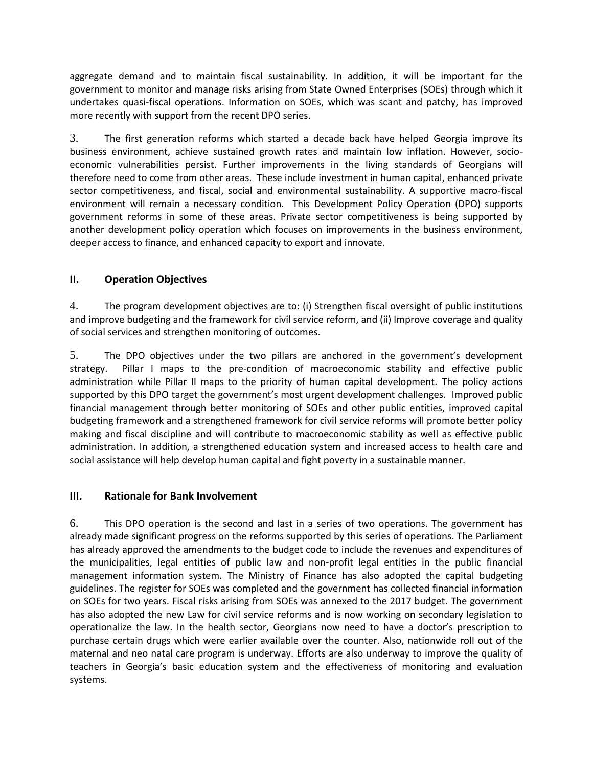aggregate demand and to maintain fiscal sustainability. In addition, it will be important for the government to monitor and manage risks arising from State Owned Enterprises (SOEs) through which it undertakes quasi-fiscal operations. Information on SOEs, which was scant and patchy, has improved more recently with support from the recent DPO series.

3. The first generation reforms which started a decade back have helped Georgia improve its business environment, achieve sustained growth rates and maintain low inflation. However, socioeconomic vulnerabilities persist. Further improvements in the living standards of Georgians will therefore need to come from other areas. These include investment in human capital, enhanced private sector competitiveness, and fiscal, social and environmental sustainability. A supportive macro-fiscal environment will remain a necessary condition. This Development Policy Operation (DPO) supports government reforms in some of these areas. Private sector competitiveness is being supported by another development policy operation which focuses on improvements in the business environment, deeper access to finance, and enhanced capacity to export and innovate.

# **II. Operation Objectives**

4. The program development objectives are to: (i) Strengthen fiscal oversight of public institutions and improve budgeting and the framework for civil service reform, and (ii) Improve coverage and quality of social services and strengthen monitoring of outcomes.

5. The DPO objectives under the two pillars are anchored in the government's development strategy. Pillar I maps to the pre-condition of macroeconomic stability and effective public administration while Pillar II maps to the priority of human capital development. The policy actions supported by this DPO target the government's most urgent development challenges. Improved public financial management through better monitoring of SOEs and other public entities, improved capital budgeting framework and a strengthened framework for civil service reforms will promote better policy making and fiscal discipline and will contribute to macroeconomic stability as well as effective public administration. In addition, a strengthened education system and increased access to health care and social assistance will help develop human capital and fight poverty in a sustainable manner.

## **III. Rationale for Bank Involvement**

6. This DPO operation is the second and last in a series of two operations. The government has already made significant progress on the reforms supported by this series of operations. The Parliament has already approved the amendments to the budget code to include the revenues and expenditures of the municipalities, legal entities of public law and non-profit legal entities in the public financial management information system. The Ministry of Finance has also adopted the capital budgeting guidelines. The register for SOEs was completed and the government has collected financial information on SOEs for two years. Fiscal risks arising from SOEs was annexed to the 2017 budget. The government has also adopted the new Law for civil service reforms and is now working on secondary legislation to operationalize the law. In the health sector, Georgians now need to have a doctor's prescription to purchase certain drugs which were earlier available over the counter. Also, nationwide roll out of the maternal and neo natal care program is underway. Efforts are also underway to improve the quality of teachers in Georgia's basic education system and the effectiveness of monitoring and evaluation systems.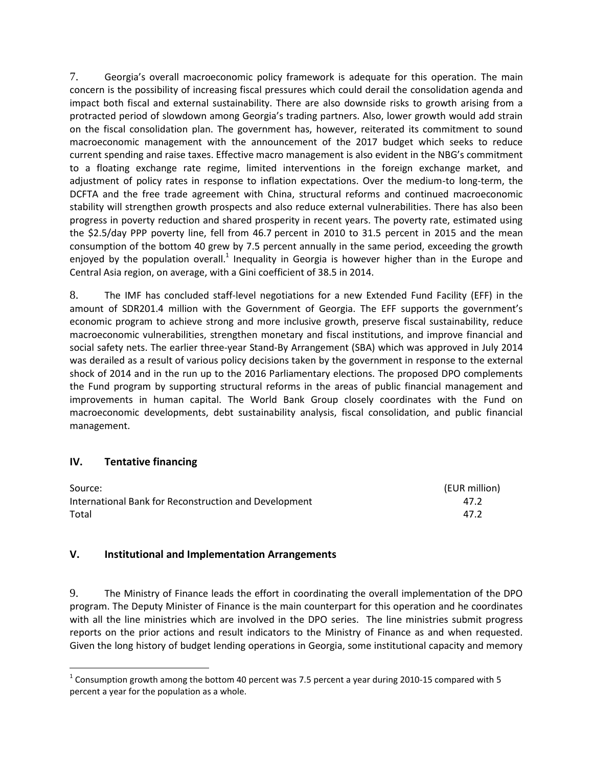7. Georgia's overall macroeconomic policy framework is adequate for this operation. The main concern is the possibility of increasing fiscal pressures which could derail the consolidation agenda and impact both fiscal and external sustainability. There are also downside risks to growth arising from a protracted period of slowdown among Georgia's trading partners. Also, lower growth would add strain on the fiscal consolidation plan. The government has, however, reiterated its commitment to sound macroeconomic management with the announcement of the 2017 budget which seeks to reduce current spending and raise taxes. Effective macro management is also evident in the NBG's commitment to a floating exchange rate regime, limited interventions in the foreign exchange market, and adjustment of policy rates in response to inflation expectations. Over the medium-to long-term, the DCFTA and the free trade agreement with China, structural reforms and continued macroeconomic stability will strengthen growth prospects and also reduce external vulnerabilities. There has also been progress in poverty reduction and shared prosperity in recent years. The poverty rate, estimated using the \$2.5/day PPP poverty line, fell from 46.7 percent in 2010 to 31.5 percent in 2015 and the mean consumption of the bottom 40 grew by 7.5 percent annually in the same period, exceeding the growth enjoyed by the population overall.<sup>1</sup> Inequality in Georgia is however higher than in the Europe and Central Asia region, on average, with a Gini coefficient of 38.5 in 2014.

8. The IMF has concluded staff-level negotiations for a new Extended Fund Facility (EFF) in the amount of SDR201.4 million with the Government of Georgia. The EFF supports the government's economic program to achieve strong and more inclusive growth, preserve fiscal sustainability, reduce macroeconomic vulnerabilities, strengthen monetary and fiscal institutions, and improve financial and social safety nets. The earlier three-year Stand-By Arrangement (SBA) which was approved in July 2014 was derailed as a result of various policy decisions taken by the government in response to the external shock of 2014 and in the run up to the 2016 Parliamentary elections. The proposed DPO complements the Fund program by supporting structural reforms in the areas of public financial management and improvements in human capital. The World Bank Group closely coordinates with the Fund on macroeconomic developments, debt sustainability analysis, fiscal consolidation, and public financial management.

## **IV. Tentative financing**

 $\overline{a}$ 

| Source:                                               | (EUR million) |
|-------------------------------------------------------|---------------|
| International Bank for Reconstruction and Development | 47.2          |
| Total                                                 | 47.2          |

## **V. Institutional and Implementation Arrangements**

9. The Ministry of Finance leads the effort in coordinating the overall implementation of the DPO program. The Deputy Minister of Finance is the main counterpart for this operation and he coordinates with all the line ministries which are involved in the DPO series. The line ministries submit progress reports on the prior actions and result indicators to the Ministry of Finance as and when requested. Given the long history of budget lending operations in Georgia, some institutional capacity and memory

 $^{1}$  Consumption growth among the bottom 40 percent was 7.5 percent a year during 2010-15 compared with 5 percent a year for the population as a whole.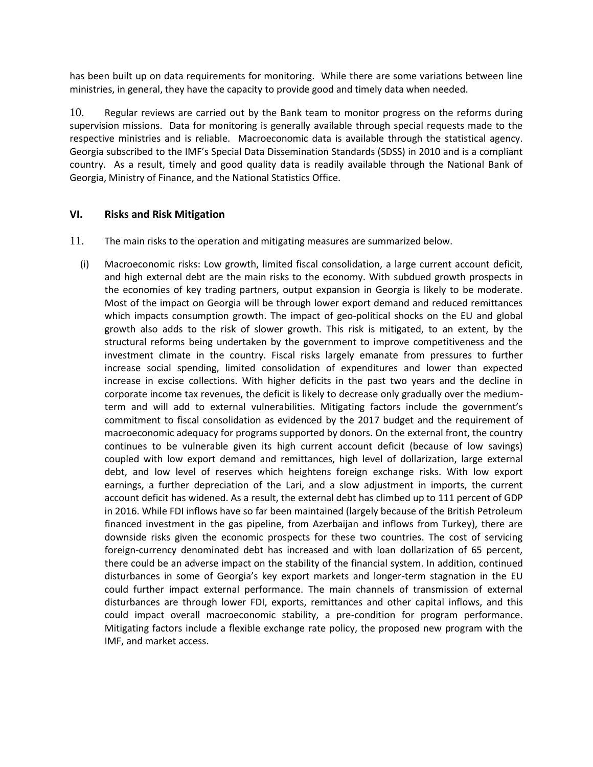has been built up on data requirements for monitoring. While there are some variations between line ministries, in general, they have the capacity to provide good and timely data when needed.

10. Regular reviews are carried out by the Bank team to monitor progress on the reforms during supervision missions. Data for monitoring is generally available through special requests made to the respective ministries and is reliable. Macroeconomic data is available through the statistical agency. Georgia subscribed to the IMF's Special Data Dissemination Standards (SDSS) in 2010 and is a compliant country. As a result, timely and good quality data is readily available through the National Bank of Georgia, Ministry of Finance, and the National Statistics Office.

## **VI. Risks and Risk Mitigation**

- 11. The main risks to the operation and mitigating measures are summarized below.
	- (i) Macroeconomic risks: Low growth, limited fiscal consolidation, a large current account deficit, and high external debt are the main risks to the economy. With subdued growth prospects in the economies of key trading partners, output expansion in Georgia is likely to be moderate. Most of the impact on Georgia will be through lower export demand and reduced remittances which impacts consumption growth. The impact of geo-political shocks on the EU and global growth also adds to the risk of slower growth. This risk is mitigated, to an extent, by the structural reforms being undertaken by the government to improve competitiveness and the investment climate in the country. Fiscal risks largely emanate from pressures to further increase social spending, limited consolidation of expenditures and lower than expected increase in excise collections. With higher deficits in the past two years and the decline in corporate income tax revenues, the deficit is likely to decrease only gradually over the mediumterm and will add to external vulnerabilities. Mitigating factors include the government's commitment to fiscal consolidation as evidenced by the 2017 budget and the requirement of macroeconomic adequacy for programs supported by donors. On the external front, the country continues to be vulnerable given its high current account deficit (because of low savings) coupled with low export demand and remittances, high level of dollarization, large external debt, and low level of reserves which heightens foreign exchange risks. With low export earnings, a further depreciation of the Lari, and a slow adjustment in imports, the current account deficit has widened. As a result, the external debt has climbed up to 111 percent of GDP in 2016. While FDI inflows have so far been maintained (largely because of the British Petroleum financed investment in the gas pipeline, from Azerbaijan and inflows from Turkey), there are downside risks given the economic prospects for these two countries. The cost of servicing foreign-currency denominated debt has increased and with loan dollarization of 65 percent, there could be an adverse impact on the stability of the financial system. In addition, continued disturbances in some of Georgia's key export markets and longer-term stagnation in the EU could further impact external performance. The main channels of transmission of external disturbances are through lower FDI, exports, remittances and other capital inflows, and this could impact overall macroeconomic stability, a pre-condition for program performance. Mitigating factors include a flexible exchange rate policy, the proposed new program with the IMF, and market access.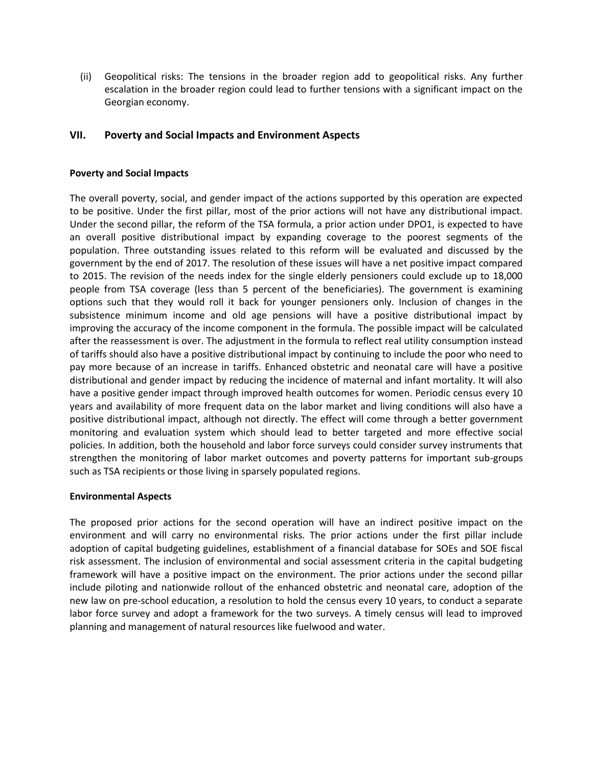(ii) Geopolitical risks: The tensions in the broader region add to geopolitical risks. Any further escalation in the broader region could lead to further tensions with a significant impact on the Georgian economy.

## **VII. Poverty and Social Impacts and Environment Aspects**

#### **Poverty and Social Impacts**

The overall poverty, social, and gender impact of the actions supported by this operation are expected to be positive. Under the first pillar, most of the prior actions will not have any distributional impact. Under the second pillar, the reform of the TSA formula, a prior action under DPO1, is expected to have an overall positive distributional impact by expanding coverage to the poorest segments of the population. Three outstanding issues related to this reform will be evaluated and discussed by the government by the end of 2017. The resolution of these issues will have a net positive impact compared to 2015. The revision of the needs index for the single elderly pensioners could exclude up to 18,000 people from TSA coverage (less than 5 percent of the beneficiaries). The government is examining options such that they would roll it back for younger pensioners only. Inclusion of changes in the subsistence minimum income and old age pensions will have a positive distributional impact by improving the accuracy of the income component in the formula. The possible impact will be calculated after the reassessment is over. The adjustment in the formula to reflect real utility consumption instead of tariffs should also have a positive distributional impact by continuing to include the poor who need to pay more because of an increase in tariffs. Enhanced obstetric and neonatal care will have a positive distributional and gender impact by reducing the incidence of maternal and infant mortality. It will also have a positive gender impact through improved health outcomes for women. Periodic census every 10 years and availability of more frequent data on the labor market and living conditions will also have a positive distributional impact, although not directly. The effect will come through a better government monitoring and evaluation system which should lead to better targeted and more effective social policies. In addition, both the household and labor force surveys could consider survey instruments that strengthen the monitoring of labor market outcomes and poverty patterns for important sub-groups such as TSA recipients or those living in sparsely populated regions.

#### **Environmental Aspects**

The proposed prior actions for the second operation will have an indirect positive impact on the environment and will carry no environmental risks. The prior actions under the first pillar include adoption of capital budgeting guidelines, establishment of a financial database for SOEs and SOE fiscal risk assessment. The inclusion of environmental and social assessment criteria in the capital budgeting framework will have a positive impact on the environment. The prior actions under the second pillar include piloting and nationwide rollout of the enhanced obstetric and neonatal care, adoption of the new law on pre-school education, a resolution to hold the census every 10 years, to conduct a separate labor force survey and adopt a framework for the two surveys. A timely census will lead to improved planning and management of natural resources like fuelwood and water.